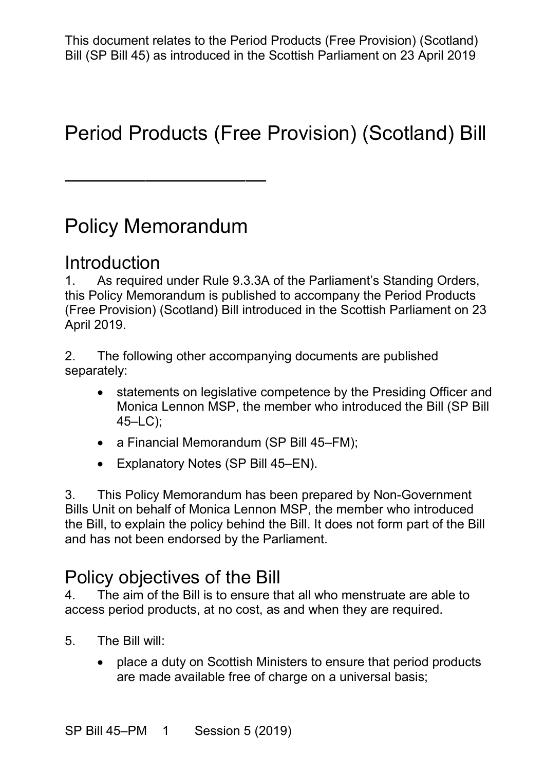# Period Products (Free Provision) (Scotland) Bill

## Policy Memorandum

——————————

#### Introduction

 1. As required under Rule 9.3.3A of the Parliament's Standing Orders, (Free Provision) (Scotland) Bill introduced in the Scottish Parliament on 23 this Policy Memorandum is published to accompany the Period Products April 2019.

2. The following other accompanying documents are published separately:

- Monica Lennon MSP, the member who introduced the Bill (SP Bill • statements on legislative competence by the Presiding Officer and 45–LC);
- a Financial Memorandum (SP Bill 45–FM);
- Explanatory Notes (SP Bill 45–EN).

 Bills Unit on behalf of Monica Lennon MSP, the member who introduced the Bill, to explain the policy behind the Bill. It does not form part of the Bill 3. This Policy Memorandum has been prepared by Non-Government and has not been endorsed by the Parliament.

## Policy objectives of the Bill

 4. The aim of the Bill is to ensure that all who menstruate are able to access period products, at no cost, as and when they are required.

- 5. The Bill will:
	- are made available free of charge on a universal basis; • place a duty on Scottish Ministers to ensure that period products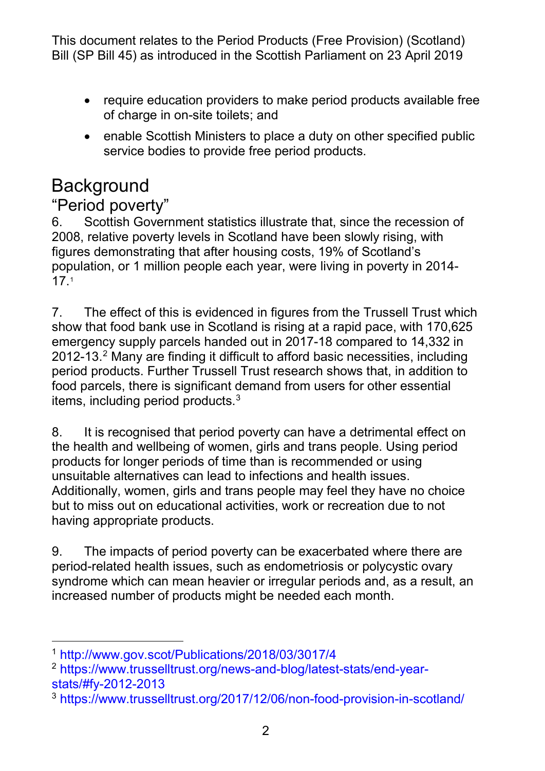- • require education providers to make period products available free of charge in on-site toilets; and
- enable Scottish Ministers to place a duty on other specified public service bodies to provide free period products.

## **Background**

#### "Period poverty"

6. Scottish Government statistics illustrate that, since the recession of 2008, relative poverty levels in Scotland have been slowly rising, with figures demonstrating that after housing costs, 19% of Scotland's population, or 1 million people each year, were living in poverty in 2014- 17.[1](#page-1-0)

 7. The effect of this is evidenced in figures from the Trussell Trust which 2012-13. $^2$  Many are finding it difficult to afford basic necessities, including food parcels, there is significant demand from users for other essential show that food bank use in Scotland is rising at a rapid pace, with 170,625 emergency supply parcels handed out in 2017-18 compared to 14,332 in period products. Further Trussell Trust research shows that, in addition to items, including period products.[3](#page-1-2) 

 the health and wellbeing of women, girls and trans people. Using period products for longer periods of time than is recommended or using Additionally, women, girls and trans people may feel they have no choice but to miss out on educational activities, work or recreation due to not having appropriate products. 8. It is recognised that period poverty can have a detrimental effect on unsuitable alternatives can lead to infections and health issues.

9. The impacts of period poverty can be exacerbated where there are period-related health issues, such as endometriosis or polycystic ovary syndrome which can mean heavier or irregular periods and, as a result, an increased number of products might be needed each month.

<span id="page-1-0"></span><sup>-</sup>1<http://www.gov.scot/Publications/2018/03/3017/4>

<span id="page-1-1"></span><sup>2</sup> [https://www.trusselltrust.org/news-and-blog/latest-stats/end-year](https://www.trusselltrust.org/news-and-blog/latest-stats/end-year-stats/#fy-2012-2013)[stats/#fy-2012-2013](https://www.trusselltrust.org/news-and-blog/latest-stats/end-year-stats/#fy-2012-2013)

<span id="page-1-2"></span> $^3$  https://www.trusselltrust.org/2017/12/06/non-food-provision-in-scotland/<br>2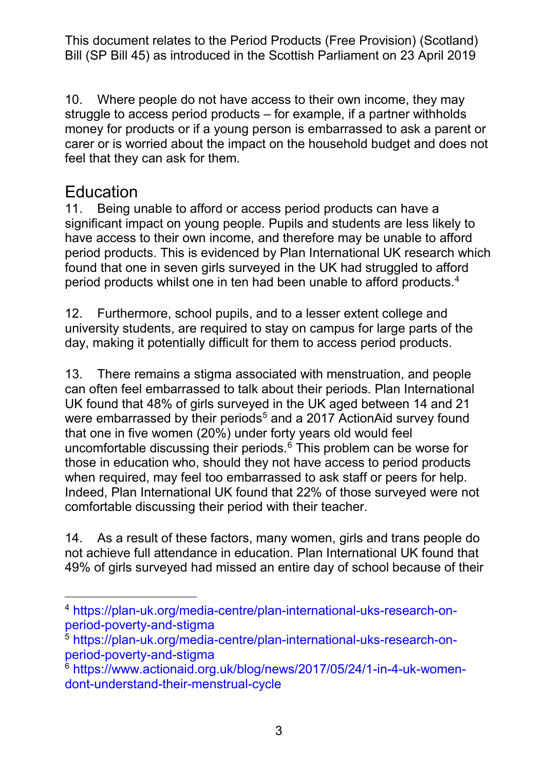struggle to access period products – for example, if a partner withholds money for products or if a young person is embarrassed to ask a parent or carer or is worried about the impact on the household budget and does not feel that they can ask for them. 10. Where people do not have access to their own income, they may

# Education<br>11. Being u

 have access to their own income, and therefore may be unable to afford found that one in seven girls surveyed in the UK had struggled to afford Being unable to afford or access period products can have a significant impact on young people. Pupils and students are less likely to period products. This is evidenced by Plan International UK research which period products whilst one in ten had been unable to afford products.[4](#page-2-0)

 12. Furthermore, school pupils, and to a lesser extent college and university students, are required to stay on campus for large parts of the day, making it potentially difficult for them to access period products.

 13. There remains a stigma associated with menstruation, and people can often feel embarrassed to talk about their periods. Plan International UK found that 48% of girls surveyed in the UK aged between 14 and 21 that one in five women (20%) under forty years old would feel uncomfortable discussing their periods. $^6$  $^6$  This problem can be worse for Indeed, Plan International UK found that 22% of those surveyed were not were embarrassed by their periods $^5$  $^5$  and a 2017 ActionAid survey found those in education who, should they not have access to period products when required, may feel too embarrassed to ask staff or peers for help. comfortable discussing their period with their teacher.

 14. As a result of these factors, many women, girls and trans people do not achieve full attendance in education. Plan International UK found that 49% of girls surveyed had missed an entire day of school because of their

<span id="page-2-0"></span> $\overline{a}$  [period-poverty-and-stigma](https://plan-uk.org/media-centre/plan-international-uks-research-on-period-poverty-and-stigma) 4 [https://plan-uk.org/media-centre/plan-international-uks-research-on-](https://plan-uk.org/media-centre/plan-international-uks-research-on-period-poverty-and-stigma)

<span id="page-2-1"></span><sup>5</sup> [https://plan-uk.org/media-centre/plan-international-uks-research-on](https://plan-uk.org/media-centre/plan-international-uks-research-on-period-poverty-and-stigma)[period-poverty-and-stigma](https://plan-uk.org/media-centre/plan-international-uks-research-on-period-poverty-and-stigma)

<span id="page-2-2"></span> [dont-understand-their-menstrual-cycle](https://www.actionaid.org.uk/blog/news/2017/05/24/1-in-4-uk-women-dont-understand-their-menstrual-cycle) 3 6 [https://www.actionaid.org.uk/blog/news/2017/05/24/1-in-4-uk-women-](https://www.actionaid.org.uk/blog/news/2017/05/24/1-in-4-uk-women-dont-understand-their-menstrual-cycle)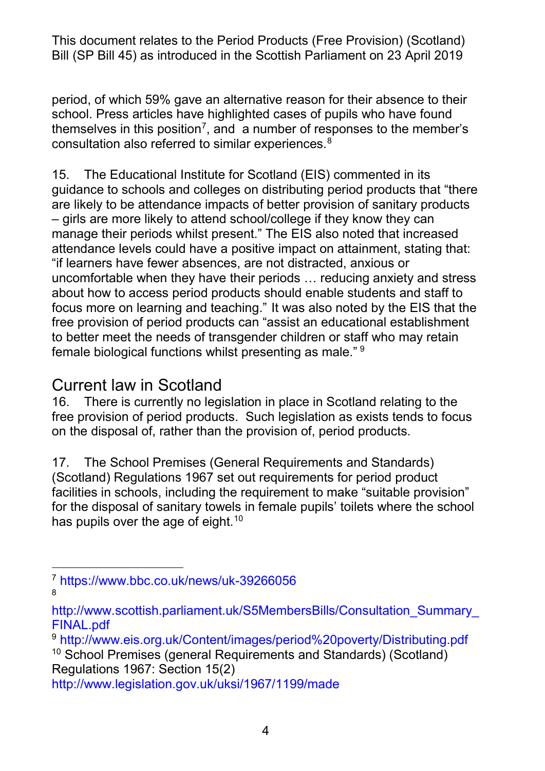period, of which 59% gave an alternative reason for their absence to their themselves in this position<sup>[7](#page-3-0)</sup>, and a number of responses to the member's consultation also referred to similar experiences. [8](#page-3-1)  school. Press articles have highlighted cases of pupils who have found

 15. The Educational Institute for Scotland (EIS) commented in its guidance to schools and colleges on distributing period products that "there are likely to be attendance impacts of better provision of sanitary products attendance levels could have a positive impact on attainment, stating that: "if learners have fewer absences, are not distracted, anxious or about how to access period products should enable students and staff to – girls are more likely to attend school/college if they know they can manage their periods whilst present." The EIS also noted that increased uncomfortable when they have their periods … reducing anxiety and stress focus more on learning and teaching." It was also noted by the EIS that the free provision of period products can "assist an educational establishment to better meet the needs of transgender children or staff who may retain female biological functions whilst presenting as male." [9](#page-3-2)

#### Current law in Scotland

 16. There is currently no legislation in place in Scotland relating to the free provision of period products. Such legislation as exists tends to focus on the disposal of, rather than the provision of, period products.

 17. The School Premises (General Requirements and Standards) (Scotland) Regulations 1967 set out requirements for period product for the disposal of sanitary towels in female pupils' toilets where the school facilities in schools, including the requirement to make "suitable provision" has pupils over the age of eight. $10$ 

Regulations 1967: Section 15(2)

<span id="page-3-0"></span><sup>-</sup>7<https://www.bbc.co.uk/news/uk-39266056> 8

<span id="page-3-1"></span> [FINAL.pdf](http://www.scottish.parliament.uk/S5MembersBills/Consultation_Summary_FINAL.pdf) [http://www.scottish.parliament.uk/S5MembersBills/Consultation\\_Summary\\_](http://www.scottish.parliament.uk/S5MembersBills/Consultation_Summary_FINAL.pdf) 

<span id="page-3-3"></span><span id="page-3-2"></span> 9<http://www.eis.org.uk/Content/images/period%20poverty/Distributing.pdf>  $10$  School Premises (general Requirements and Standards) (Scotland)

 <http://www.legislation.gov.uk/uksi/1967/1199/made>4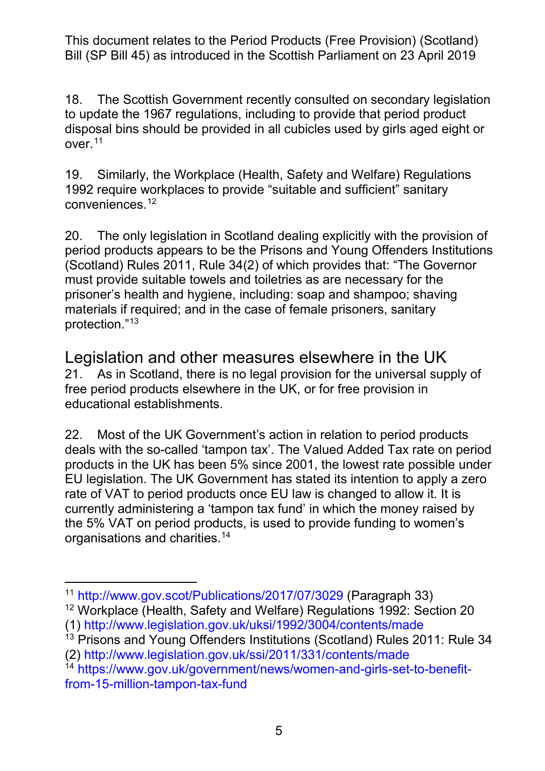to update the 1967 regulations, including to provide that period product disposal bins should be provided in all cubicles used by girls aged eight or 18. The Scottish Government recently consulted on secondary legislation over.[11](#page-4-0) 

 1992 require workplaces to provide "suitable and sufficient" sanitary 19. Similarly, the Workplace (Health, Safety and Welfare) Regulations conveniences.[12](#page-4-1)

 prisoner's health and hygiene, including: soap and shampoo; shaving materials if required; and in the case of female prisoners, sanitary 20. The only legislation in Scotland dealing explicitly with the provision of period products appears to be the Prisons and Young Offenders Institutions (Scotland) Rules 2011, Rule 34(2) of which provides that: "The Governor must provide suitable towels and toiletries as are necessary for the protection.["13](#page-4-2) 

 free period products elsewhere in the UK, or for free provision in Legislation and other measures elsewhere in the UK 21. As in Scotland, there is no legal provision for the universal supply of educational establishments.

 products in the UK has been 5% since 2001, the lowest rate possible under EU legislation. The UK Government has stated its intention to apply a zero rate of VAT to period products once EU law is changed to allow it. It is currently administering a 'tampon tax fund' in which the money raised by organisations and charities. $^{14}$  $^{14}$  $^{14}$ 22. Most of the UK Government's action in relation to period products deals with the so-called 'tampon tax'. The Valued Added Tax rate on period the 5% VAT on period products, is used to provide funding to women's

<span id="page-4-0"></span> $\overline{a}$ <sup>11</sup> http://www.gov.scot/Publications/2017/07/3029 (Paragraph 33)

<span id="page-4-1"></span><sup>&</sup>lt;sup>12</sup> Workplace (Health, Safety and Welfare) Regulations 1992: Section 20 (1)<http://www.legislation.gov.uk/uksi/1992/3004/contents/made>

<span id="page-4-2"></span><sup>&</sup>lt;sup>13</sup> Prisons and Young Offenders Institutions (Scotland) Rules 2011: Rule 34

<sup>(2)</sup> http://www.legislation.gov.uk/ssi/2011/331/contents/made

<span id="page-4-3"></span> [from-15-million-tampon-tax-fund](https://www.gov.uk/government/news/women-and-girls-set-to-benefit-from-15-million-tampon-tax-fund)  <sup>14</sup> [https://www.gov.uk/government/news/women-and-girls-set-to-benefit-](https://www.gov.uk/government/news/women-and-girls-set-to-benefit-from-15-million-tampon-tax-fund)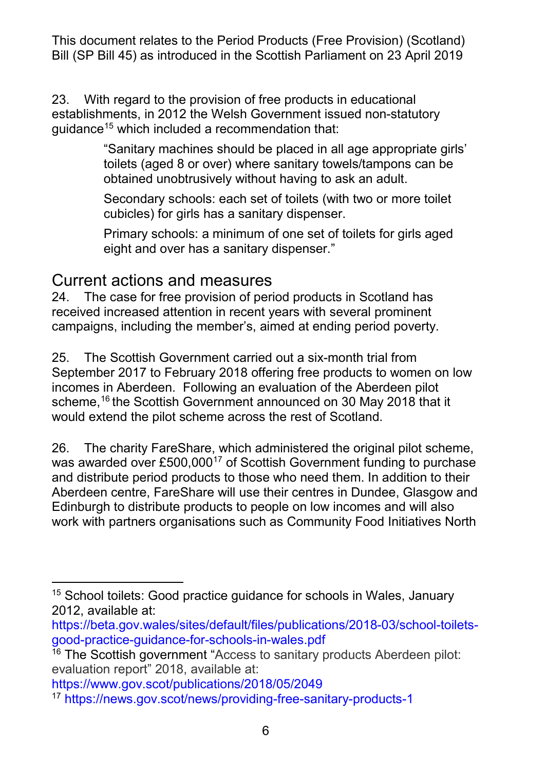establishments, in 2012 the Welsh Government issued non-statutory 23. With regard to the provision of free products in educational guidance[15](#page-5-0) which included a recommendation that:

> toilets (aged 8 or over) where sanitary towels/tampons can be "Sanitary machines should be placed in all age appropriate girls' obtained unobtrusively without having to ask an adult.

 Secondary schools: each set of toilets (with two or more toilet cubicles) for girls has a sanitary dispenser.

 eight and over has a sanitary dispenser." Primary schools: a minimum of one set of toilets for girls aged

#### Current actions and measures

 24. The case for free provision of period products in Scotland has received increased attention in recent years with several prominent campaigns, including the member's, aimed at ending period poverty.

 25. The Scottish Government carried out a six-month trial from scheme,<sup>[16](#page-5-1)</sup> the Scottish Government announced on 30 May 2018 that it would extend the pilot scheme across the rest of Scotland. September 2017 to February 2018 offering free products to women on low incomes in Aberdeen. Following an evaluation of the Aberdeen pilot

 26. The charity FareShare, which administered the original pilot scheme, and distribute period products to those who need them. In addition to their work with partners organisations such as Community Food Initiatives North was awarded over £500,000<sup>[17](#page-5-2)</sup> of Scottish Government funding to purchase Aberdeen centre, FareShare will use their centres in Dundee, Glasgow and Edinburgh to distribute products to people on low incomes and will also

[https://www.gov.scot/publications/2018/05/2049](https://www.gov.scot/Publications/2018/05/2049)

<span id="page-5-0"></span><sup>-</sup><sup>15</sup> School toilets: Good practice guidance for schools in Wales, January 2012, available at:

[https://beta.gov.wales/sites/default/files/publications/2018-03/school-toilets](https://beta.gov.wales/sites/default/files/publications/2018-03/school-toilets-good-practice-guidance-for-schools-in-wales.pdf)[good-practice-guidance-for-schools-in-wales.pdf](https://beta.gov.wales/sites/default/files/publications/2018-03/school-toilets-good-practice-guidance-for-schools-in-wales.pdf)

<span id="page-5-1"></span><sup>&</sup>lt;sup>16</sup> The Scottish government "Access to sanitary products Aberdeen pilot: evaluation report" 2018, available at:

<span id="page-5-2"></span> 17<https://news.gov.scot/news/providing-free-sanitary-products-1>6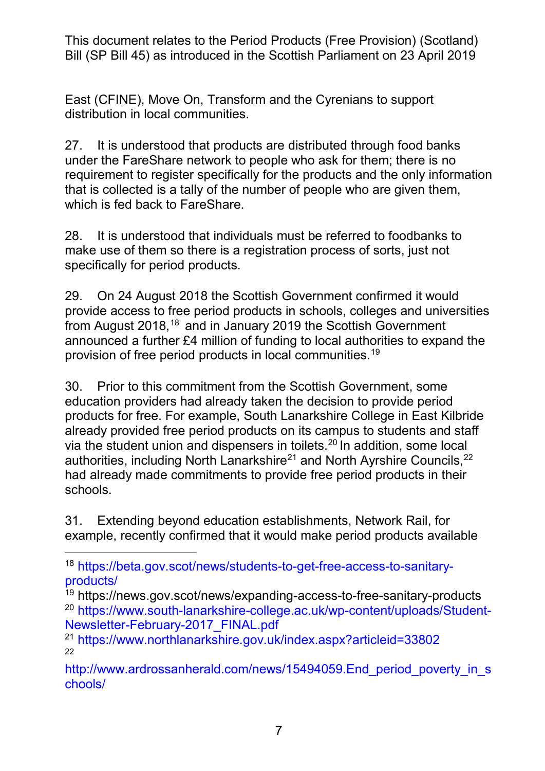East (CFINE), Move On, Transform and the Cyrenians to support distribution in local communities.

 27. It is understood that products are distributed through food banks under the FareShare network to people who ask for them; there is no requirement to register specifically for the products and the only information that is collected is a tally of the number of people who are given them, which is fed back to FareShare.

 28. It is understood that individuals must be referred to foodbanks to make use of them so there is a registration process of sorts, just not specifically for period products.

 29. On 24 August 2018 the Scottish Government confirmed it would provide access to free period products in schools, colleges and universities from August 2018,<sup>18</sup> and in January 2019 the Scottish Government announced a further £4 million of funding to local authorities to expand the provision of free period products in local communities.[19](#page-6-1)

 30. Prior to this commitment from the Scottish Government, some already provided free period products on its campus to students and staff via the student union and dispensers in toilets.<sup>20</sup> In addition, some local education providers had already taken the decision to provide period products for free. For example, South Lanarkshire College in East Kilbride authorities, including North Lanarkshire<sup>[21](#page-6-3)</sup> and North Ayrshire Councils,<sup>22</sup> had already made commitments to provide free period products in their schools.

 31. Extending beyond education establishments, Network Rail, for example, recently confirmed that it would make period products available

<span id="page-6-0"></span><sup>-</sup> [products/](https://beta.gov.scot/news/students-to-get-free-access-to-sanitary-products/) 18 [https://beta.gov.scot/news/students-to-get-free-access-to-sanitary-](https://beta.gov.scot/news/students-to-get-free-access-to-sanitary-products/)

<span id="page-6-2"></span><span id="page-6-1"></span> [Newsletter-February-2017\\_FINAL.pdf](https://www.south-lanarkshire-college.ac.uk/wp-content/uploads/Student-Newsletter-February-2017_FINAL.pdf) 19 https://news.gov.scot/news/expanding-access-to-free-sanitary-products 20 [https://www.south-lanarkshire-college.ac.uk/wp-content/uploads/Student-](https://www.south-lanarkshire-college.ac.uk/wp-content/uploads/Student-Newsletter-February-2017_FINAL.pdf)

<span id="page-6-3"></span><sup>&</sup>lt;sup>21</sup> https://www.northlanarkshire.gov.uk/index.aspx?articleid=33802 22

<span id="page-6-4"></span>chools/ http://www.ardrossanherald.com/news/15494059.End period poverty in s [chools/](http://www.ardrossanherald.com/news/15494059.End_period_poverty_in_schools/) 7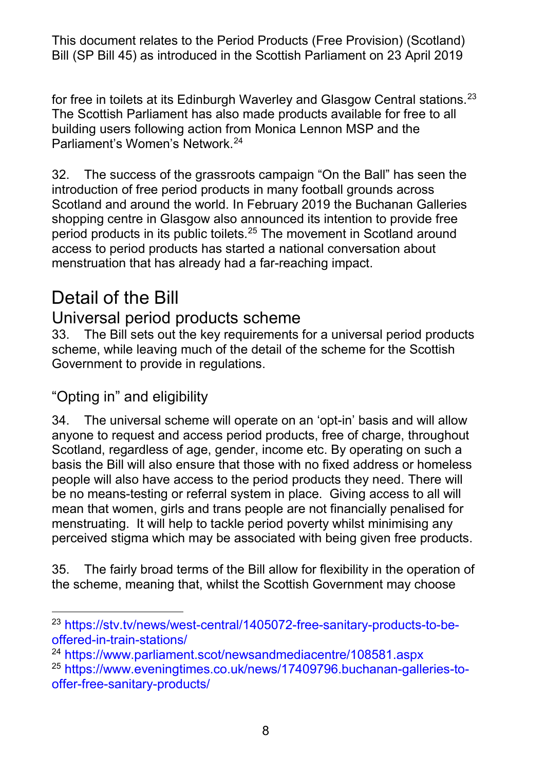The Scottish Parliament has also made products available for free to all for free in toilets at its Edinburgh Waverley and Glasgow Central stations.<sup>23</sup> building users following action from Monica Lennon MSP and the Parliament's Women's Network[.24](#page-7-1) 

 32. The success of the grassroots campaign "On the Ball" has seen the introduction of free period products in many football grounds across shopping centre in Glasgow also announced its intention to provide free Scotland and around the world. In February 2019 the Buchanan Galleries period products in its public toilets.[25](#page-7-2) The movement in Scotland around access to period products has started a national conversation about menstruation that has already had a far-reaching impact.

## Detail of the Bill

#### Universal period products scheme

33. The Bill sets out the key requirements for a universal period products scheme, while leaving much of the detail of the scheme for the Scottish Government to provide in regulations.

#### "Opting in" and eligibility

 34. The universal scheme will operate on an 'opt-in' basis and will allow basis the Bill will also ensure that those with no fixed address or homeless people will also have access to the period products they need. There will mean that women, girls and trans people are not financially penalised for menstruating. It will help to tackle period poverty whilst minimising any anyone to request and access period products, free of charge, throughout Scotland, regardless of age, gender, income etc. By operating on such a be no means-testing or referral system in place. Giving access to all will

perceived stigma which may be associated with being given free products.<br>35. The fairly broad terms of the Bill allow for flexibility in the operation of the scheme, meaning that, whilst the Scottish Government may choose

<span id="page-7-0"></span><sup>-</sup> [offered-in-train-stations/](https://stv.tv/news/west-central/1405072-free-sanitary-products-to-be-offered-in-train-stations/) <sup>23</sup> [https://stv.tv/news/west-central/1405072-free-sanitary-products-to-be-](https://stv.tv/news/west-central/1405072-free-sanitary-products-to-be-offered-in-train-stations/)

<span id="page-7-2"></span><span id="page-7-1"></span><sup>&</sup>lt;sup>24</sup> https://www.parliament.scot/newsandmediacentre/108581.aspx offer-free-sanitary-products/<br>8 <sup>25</sup> [https://www.eveningtimes.co.uk/news/17409796.buchanan-galleries-to-](https://www.eveningtimes.co.uk/news/17409796.buchanan-galleries-to-offer-free-sanitary-products/)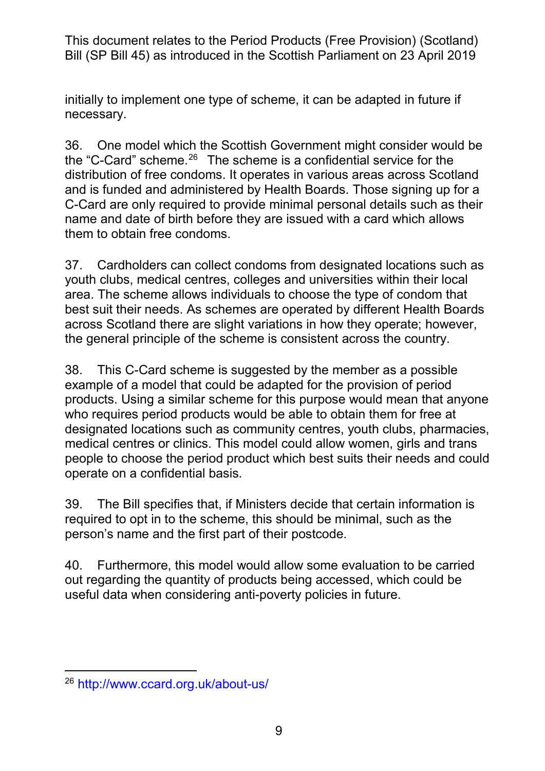initially to implement one type of scheme, it can be adapted in future if necessary.

the "C-Card" scheme. $^{26}$  $^{26}$  $^{26}$  The scheme is a confidential service for the distribution of free condoms. It operates in various areas across Scotland and is funded and administered by Health Boards. Those signing up for a C-Card are only required to provide minimal personal details such as their name and date of birth before they are issued with a card which allows them to obtain free condoms. 36. One model which the Scottish Government might consider would be

 37. Cardholders can collect condoms from designated locations such as youth clubs, medical centres, colleges and universities within their local area. The scheme allows individuals to choose the type of condom that best suit their needs. As schemes are operated by different Health Boards across Scotland there are slight variations in how they operate; however, the general principle of the scheme is consistent across the country.

 products. Using a similar scheme for this purpose would mean that anyone medical centres or clinics. This model could allow women, girls and trans people to choose the period product which best suits their needs and could 38. This C-Card scheme is suggested by the member as a possible example of a model that could be adapted for the provision of period who requires period products would be able to obtain them for free at designated locations such as community centres, youth clubs, pharmacies, operate on a confidential basis.

 required to opt in to the scheme, this should be minimal, such as the person's name and the first part of their postcode. 39. The Bill specifies that, if Ministers decide that certain information is

 40. Furthermore, this model would allow some evaluation to be carried out regarding the quantity of products being accessed, which could be useful data when considering anti-poverty policies in future.

<span id="page-8-0"></span><sup>-</sup>26<http://www.ccard.org.uk/about-us/>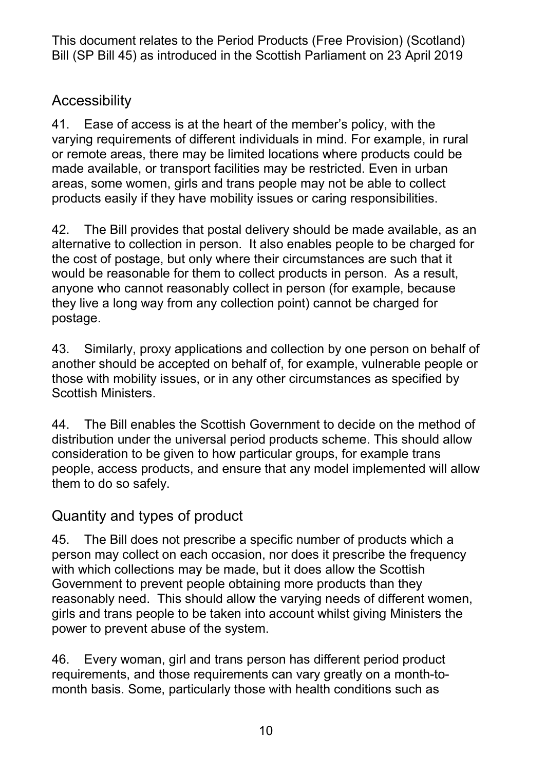#### Accessibility

 areas, some women, girls and trans people may not be able to collect products easily if they have mobility issues or caring responsibilities. 41. Ease of access is at the heart of the member's policy, with the varying requirements of different individuals in mind. For example, in rural or remote areas, there may be limited locations where products could be made available, or transport facilities may be restricted. Even in urban

 alternative to collection in person. It also enables people to be charged for would be reasonable for them to collect products in person. As a result, anyone who cannot reasonably collect in person (for example, because they live a long way from any collection point) cannot be charged for 42. The Bill provides that postal delivery should be made available, as an the cost of postage, but only where their circumstances are such that it postage.

 43. Similarly, proxy applications and collection by one person on behalf of another should be accepted on behalf of, for example, vulnerable people or those with mobility issues, or in any other circumstances as specified by Scottish Ministers.

 distribution under the universal period products scheme. This should allow them to do so safely. 44. The Bill enables the Scottish Government to decide on the method of consideration to be given to how particular groups, for example trans people, access products, and ensure that any model implemented will allow

#### Quantity and types of product

 45. The Bill does not prescribe a specific number of products which a person may collect on each occasion, nor does it prescribe the frequency with which collections may be made, but it does allow the Scottish reasonably need. This should allow the varying needs of different women, girls and trans people to be taken into account whilst giving Ministers the power to prevent abuse of the system. Government to prevent people obtaining more products than they

 46. Every woman, girl and trans person has different period product month basis. Some, particularly those with health conditions such as requirements, and those requirements can vary greatly on a month-to-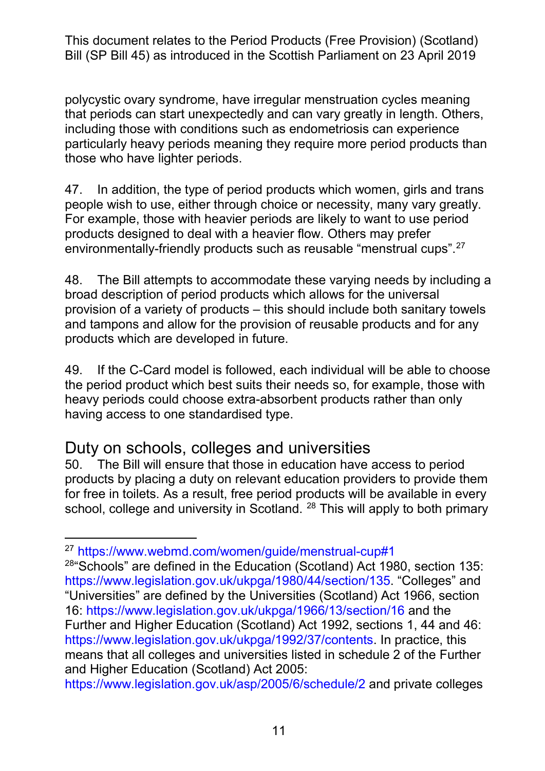that periods can start unexpectedly and can vary greatly in length. Others, those who have lighter periods. polycystic ovary syndrome, have irregular menstruation cycles meaning including those with conditions such as endometriosis can experience particularly heavy periods meaning they require more period products than

those who have lighter periods.<br>47. In addition, the type of period products which women, girls and trans people wish to use, either through choice or necessity, many vary greatly. environmentally-friendly products such as reusable "menstrual cups".[27](#page-10-0)  For example, those with heavier periods are likely to want to use period products designed to deal with a heavier flow. Others may prefer

 broad description of period products which allows for the universal provision of a variety of products – this should include both sanitary towels and tampons and allow for the provision of reusable products and for any 48. The Bill attempts to accommodate these varying needs by including a products which are developed in future.

 49. If the C-Card model is followed, each individual will be able to choose the period product which best suits their needs so, for example, those with heavy periods could choose extra-absorbent products rather than only having access to one standardised type.

# Duty on schools, colleges and universities<br>50. The Bill will ensure that those in education have

 50. The Bill will ensure that those in education have access to period products by placing a duty on relevant education providers to provide them for free in toilets. As a result, free period products will be available in every school, college and university in Scotland. <sup>[28](#page-10-1)</sup> This will apply to both primary

<span id="page-10-1"></span> $28$  Schools" are defined in the Education (Scotland) Act 1980, section 135: [https://www.legislation.gov.uk/ukpga/1980/44/section/135.](https://www.legislation.gov.uk/ukpga/1980/44/section/135) "Colleges" and "Universities" are defined by the Universities (Scotland) Act 1966, section Further and Higher Education (Scotland) Act 1992, sections 1, 44 and 46: means that all colleges and universities listed in schedule 2 of the Further 16:<https://www.legislation.gov.uk/ukpga/1966/13/section/16>and the [https://www.legislation.gov.uk/ukpga/1992/37/contents.](https://www.legislation.gov.uk/ukpga/1992/37/contents) In practice, this and Higher Education (Scotland) Act 2005:

<https://www.legislation.gov.uk/asp/2005/6/schedule/2>and private colleges

<span id="page-10-0"></span><sup>-</sup>27<https://www.webmd.com/women/guide/menstrual-cup#1>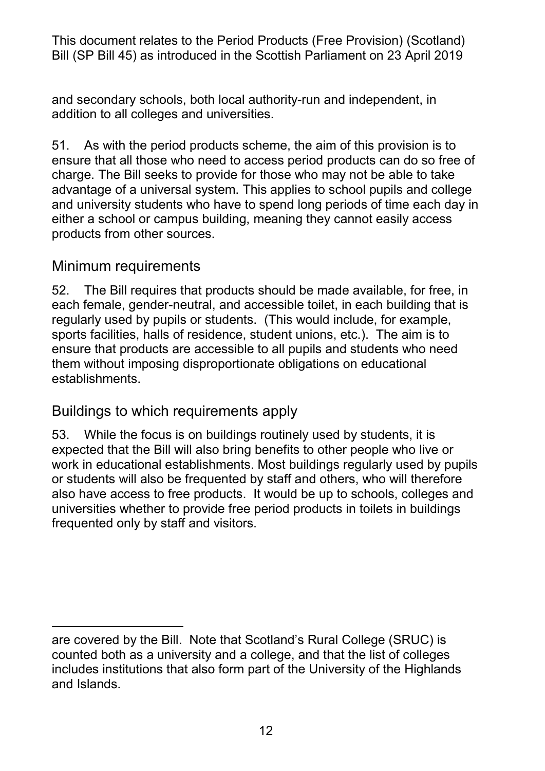addition to all colleges and universities. and secondary schools, both local authority-run and independent, in

 ensure that all those who need to access period products can do so free of charge. The Bill seeks to provide for those who may not be able to take advantage of a universal system. This applies to school pupils and college and university students who have to spend long periods of time each day in either a school or campus building, meaning they cannot easily access 51. As with the period products scheme, the aim of this provision is to products from other sources.

#### Minimum requirements

 52. The Bill requires that products should be made available, for free, in each female, gender-neutral, and accessible toilet, in each building that is regularly used by pupils or students. (This would include, for example, sports facilities, halls of residence, student unions, etc.). The aim is to ensure that products are accessible to all pupils and students who need them without imposing disproportionate obligations on educational establishments.

#### Buildings to which requirements apply

 also have access to free products. It would be up to schools, colleges and 53. While the focus is on buildings routinely used by students, it is expected that the Bill will also bring benefits to other people who live or work in educational establishments. Most buildings regularly used by pupils or students will also be frequented by staff and others, who will therefore universities whether to provide free period products in toilets in buildings frequented only by staff and visitors.

<sup>-</sup> are covered by the Bill. Note that Scotland's Rural College (SRUC) is counted both as a university and a college, and that the list of colleges includes institutions that also form part of the University of the Highlands and Islands.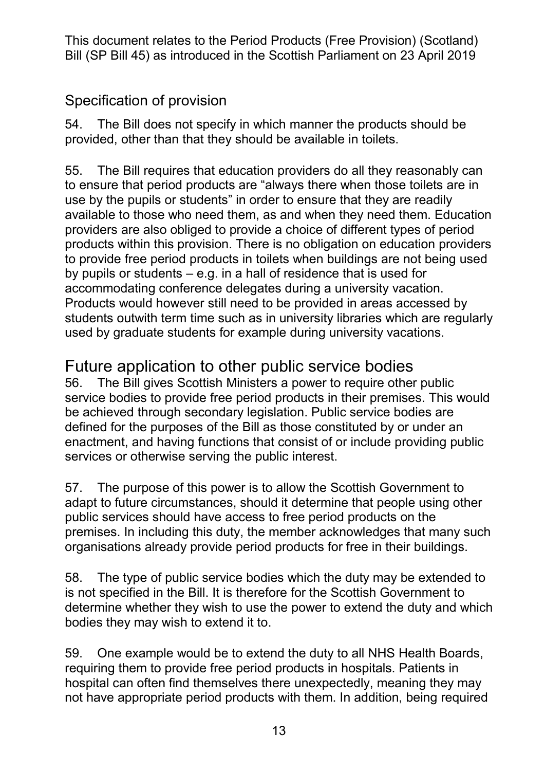#### Specification of provision

 54. The Bill does not specify in which manner the products should be provided, other than that they should be available in toilets.

 use by the pupils or students" in order to ensure that they are readily available to those who need them, as and when they need them. Education providers are also obliged to provide a choice of different types of period by pupils or students – e.g. in a hall of residence that is used for Products would however still need to be provided in areas accessed by students outwith term time such as in university libraries which are regularly used by graduate students for example during university vacations. 55. The Bill requires that education providers do all they reasonably can to ensure that period products are "always there when those toilets are in products within this provision. There is no obligation on education providers to provide free period products in toilets when buildings are not being used accommodating conference delegates during a university vacation.

## Future application to other public service bodies

 56. The Bill gives Scottish Ministers a power to require other public defined for the purposes of the Bill as those constituted by or under an enactment, and having functions that consist of or include providing public service bodies to provide free period products in their premises. This would be achieved through secondary legislation. Public service bodies are services or otherwise serving the public interest.

 57. The purpose of this power is to allow the Scottish Government to adapt to future circumstances, should it determine that people using other public services should have access to free period products on the organisations already provide period products for free in their buildings. premises. In including this duty, the member acknowledges that many such

 is not specified in the Bill. It is therefore for the Scottish Government to bodies they may wish to extend it to. 58. The type of public service bodies which the duty may be extended to determine whether they wish to use the power to extend the duty and which

 59. One example would be to extend the duty to all NHS Health Boards, not have appropriate period products with them. In addition, being required requiring them to provide free period products in hospitals. Patients in hospital can often find themselves there unexpectedly, meaning they may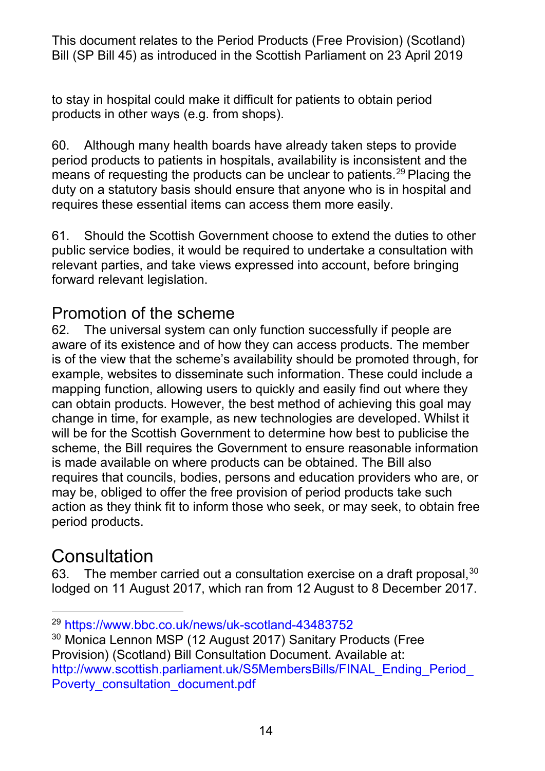to stay in hospital could make it difficult for patients to obtain period products in other ways (e.g. from shops).

 60. Although many health boards have already taken steps to provide period products to patients in hospitals, availability is inconsistent and the means of requesting the products can be unclear to patients.<sup>[29](#page-13-0)</sup> Placing the duty on a statutory basis should ensure that anyone who is in hospital and requires these essential items can access them more easily.

 61. Should the Scottish Government choose to extend the duties to other public service bodies, it would be required to undertake a consultation with relevant parties, and take views expressed into account, before bringing forward relevant legislation.

### Promotion of the scheme

 62. The universal system can only function successfully if people are example, websites to disseminate such information. These could include a mapping function, allowing users to quickly and easily find out where they change in time, for example, as new technologies are developed. Whilst it will be for the Scottish Government to determine how best to publicise the requires that councils, bodies, persons and education providers who are, or may be, obliged to offer the free provision of period products take such action as they think fit to inform those who seek, or may seek, to obtain free aware of its existence and of how they can access products. The member is of the view that the scheme's availability should be promoted through, for can obtain products. However, the best method of achieving this goal may scheme, the Bill requires the Government to ensure reasonable information is made available on where products can be obtained. The Bill also period products.

## **Consultation**

63. The member carried out a consultation exercise on a draft proposal,  $30$ lodged on 11 August 2017, which ran from 12 August to 8 December 2017.

<span id="page-13-0"></span><sup>-</sup><sup>29</sup> https://www.bbc.co.uk/news/uk-scotland-43483752

<span id="page-13-1"></span> Provision) (Scotland) Bill Consultation Document. Available at: <sup>30</sup> Monica Lennon MSP (12 August 2017) Sanitary Products (Free http://www.scottish.parliament.uk/S5MembersBills/FINAL\_Ending\_Period Poverty\_consultation\_document.pdf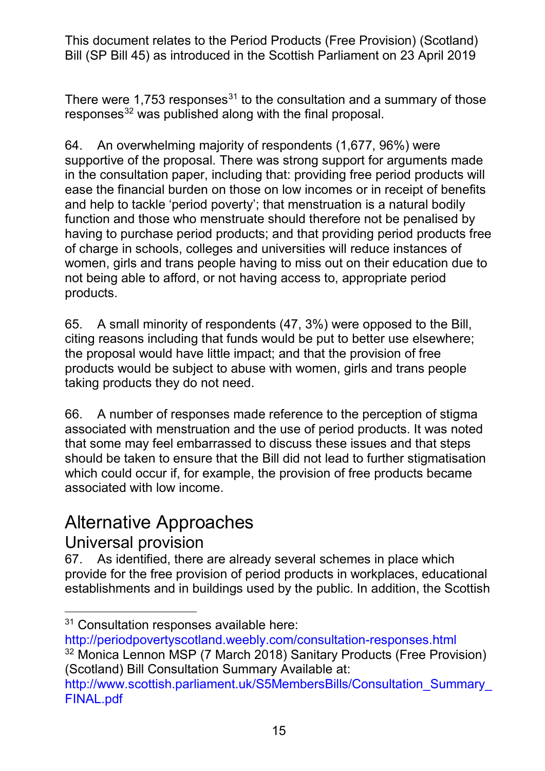There were 1,753 responses<sup>31</sup> to the consultation and a summary of those responses<sup>[32](#page-14-1)</sup> was published along with the final proposal.

 64. An overwhelming majority of respondents (1,677, 96%) were supportive of the proposal. There was strong support for arguments made ease the financial burden on those on low incomes or in receipt of benefits function and those who menstruate should therefore not be penalised by of charge in schools, colleges and universities will reduce instances of women, girls and trans people having to miss out on their education due to not being able to afford, or not having access to, appropriate period in the consultation paper, including that: providing free period products will and help to tackle 'period poverty'; that menstruation is a natural bodily having to purchase period products; and that providing period products free products.

 citing reasons including that funds would be put to better use elsewhere; the proposal would have little impact; and that the provision of free 65. A small minority of respondents (47, 3%) were opposed to the Bill, products would be subject to abuse with women, girls and trans people taking products they do not need.

 66. A number of responses made reference to the perception of stigma that some may feel embarrassed to discuss these issues and that steps should be taken to ensure that the Bill did not lead to further stigmatisation associated with menstruation and the use of period products. It was noted which could occur if, for example, the provision of free products became associated with low income.

## Alternative Approaches

#### Universal provision

 establishments and in buildings used by the public. In addition, the Scottish 67. As identified, there are already several schemes in place which provide for the free provision of period products in workplaces, educational

<sup>-</sup><sup>31</sup> Consultation responses available here:

<span id="page-14-0"></span><http://periodpovertyscotland.weebly.com/consultation-responses.html>

<span id="page-14-1"></span><sup>32</sup> Monica Lennon MSP (7 March 2018) Sanitary Products (Free Provision) (Scotland) Bill Consultation Summary Available at:

[http://www.scottish.parliament.uk/S5MembersBills/Consultation\\_Summary\\_](http://www.scottish.parliament.uk/S5MembersBills/Consultation_Summary_FINAL.pdf)  [FINAL.pdf](http://www.scottish.parliament.uk/S5MembersBills/Consultation_Summary_FINAL.pdf)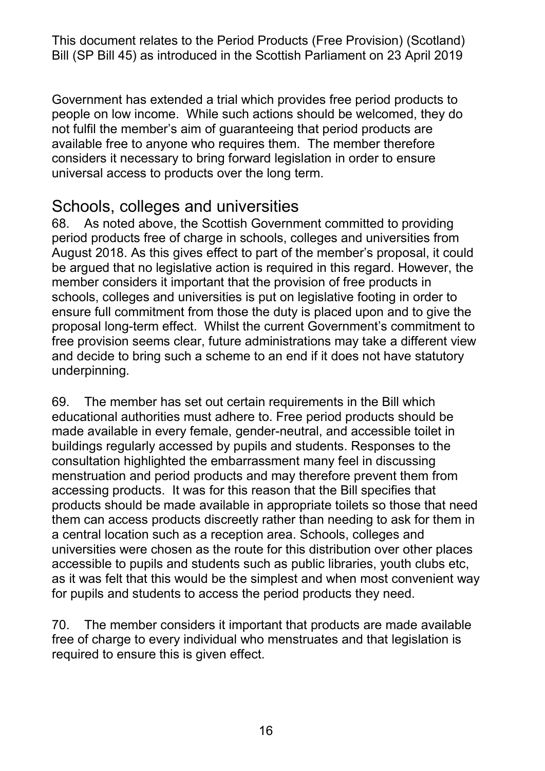people on low income. While such actions should be welcomed, they do not fulfil the member's aim of guaranteeing that period products are available free to anyone who requires them. The member therefore considers it necessary to bring forward legislation in order to ensure Government has extended a trial which provides free period products to universal access to products over the long term.

#### Schools, colleges and universities

 68. As noted above, the Scottish Government committed to providing period products free of charge in schools, colleges and universities from August 2018. As this gives effect to part of the member's proposal, it could member considers it important that the provision of free products in schools, colleges and universities is put on legislative footing in order to ensure full commitment from those the duty is placed upon and to give the proposal long-term effect. Whilst the current Government's commitment to and decide to bring such a scheme to an end if it does not have statutory be argued that no legislative action is required in this regard. However, the free provision seems clear, future administrations may take a different view underpinning.

 buildings regularly accessed by pupils and students. Responses to the menstruation and period products and may therefore prevent them from accessing products. It was for this reason that the Bill specifies that products should be made available in appropriate toilets so those that need them can access products discreetly rather than needing to ask for them in universities were chosen as the route for this distribution over other places accessible to pupils and students such as public libraries, youth clubs etc, for pupils and students to access the period products they need. 69. The member has set out certain requirements in the Bill which educational authorities must adhere to. Free period products should be made available in every female, gender-neutral, and accessible toilet in consultation highlighted the embarrassment many feel in discussing a central location such as a reception area. Schools, colleges and as it was felt that this would be the simplest and when most convenient way

70. The member considers it important that products are made available free of charge to every individual who menstruates and that legislation is required to ensure this is given effect.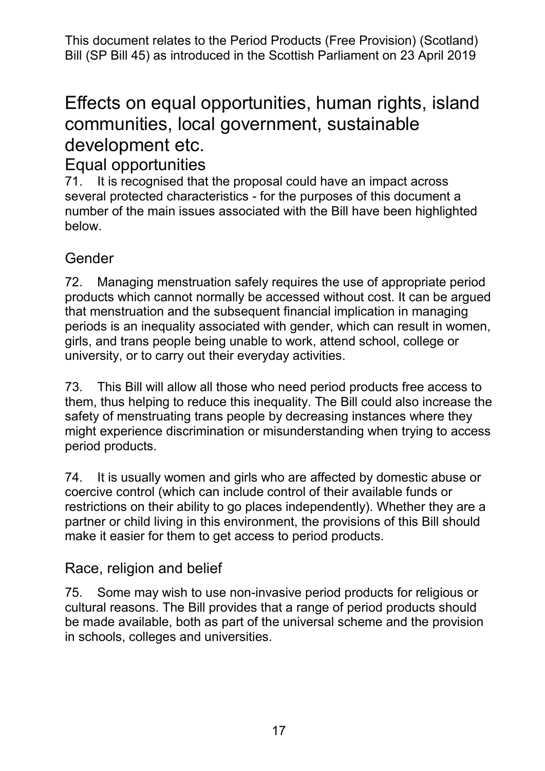## communities, local government, sustainable Effects on equal opportunities, human rights, island development etc.

## Equal opportunities

 71. It is recognised that the proposal could have an impact across several protected characteristics - for the purposes of this document a number of the main issues associated with the Bill have been highlighted below.

#### Gender

 products which cannot normally be accessed without cost. It can be argued periods is an inequality associated with gender, which can result in women, girls, and trans people being unable to work, attend school, college or 72. Managing menstruation safely requires the use of appropriate period that menstruation and the subsequent financial implication in managing university, or to carry out their everyday activities.

 73. This Bill will allow all those who need period products free access to them, thus helping to reduce this inequality. The Bill could also increase the safety of menstruating trans people by decreasing instances where they might experience discrimination or misunderstanding when trying to access period products.

 74. It is usually women and girls who are affected by domestic abuse or restrictions on their ability to go places independently). Whether they are a partner or child living in this environment, the provisions of this Bill should coercive control (which can include control of their available funds or make it easier for them to get access to period products.

#### Race, religion and belief

 cultural reasons. The Bill provides that a range of period products should be made available, both as part of the universal scheme and the provision in schools, colleges and universities. 75. Some may wish to use non-invasive period products for religious or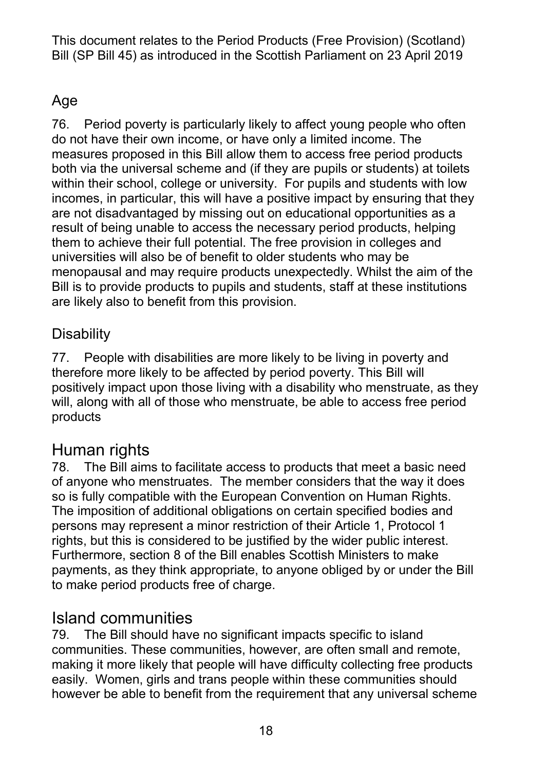#### Age

 76. Period poverty is particularly likely to affect young people who often measures proposed in this Bill allow them to access free period products within their school, college or university. For pupils and students with low incomes, in particular, this will have a positive impact by ensuring that they result of being unable to access the necessary period products, helping them to achieve their full potential. The free provision in colleges and universities will also be of benefit to older students who may be menopausal and may require products unexpectedly. Whilst the aim of the Bill is to provide products to pupils and students, staff at these institutions are likely also to benefit from this provision. do not have their own income, or have only a limited income. The both via the universal scheme and (if they are pupils or students) at toilets are not disadvantaged by missing out on educational opportunities as a

#### **Disability**

 positively impact upon those living with a disability who menstruate, as they will, along with all of those who menstruate, be able to access free period 77. People with disabilities are more likely to be living in poverty and therefore more likely to be affected by period poverty. This Bill will products

## Human rights

 of anyone who menstruates. The member considers that the way it does so is fully compatible with the European Convention on Human Rights. persons may represent a minor restriction of their Article 1, Protocol 1 rights, but this is considered to be justified by the wider public interest. payments, as they think appropriate, to anyone obliged by or under the Bill 78. The Bill aims to facilitate access to products that meet a basic need The imposition of additional obligations on certain specified bodies and Furthermore, section 8 of the Bill enables Scottish Ministers to make to make period products free of charge.

## Island communities

 79. The Bill should have no significant impacts specific to island making it more likely that people will have difficulty collecting free products easily. Women, girls and trans people within these communities should however be able to benefit from the requirement that any universal scheme communities. These communities, however, are often small and remote,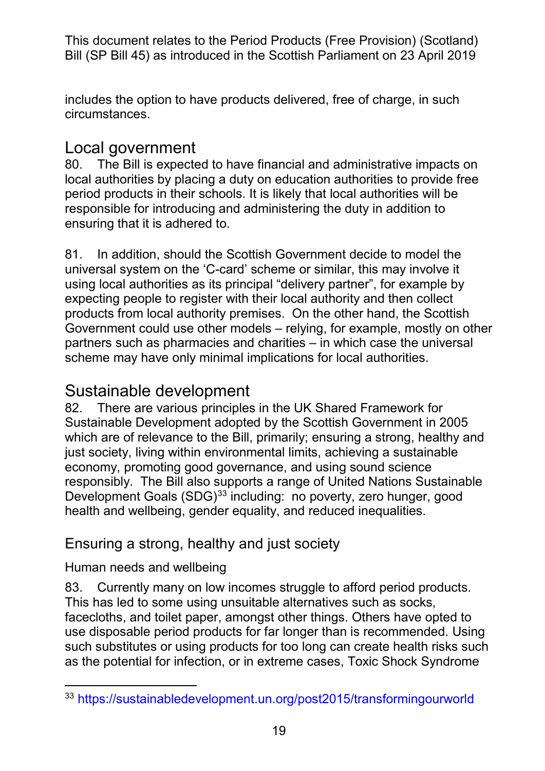includes the option to have products delivered, free of charge, in such circumstances.

#### Local government

 local authorities by placing a duty on education authorities to provide free 80. The Bill is expected to have financial and administrative impacts on period products in their schools. It is likely that local authorities will be responsible for introducing and administering the duty in addition to ensuring that it is adhered to.

 universal system on the 'C-card' scheme or similar, this may involve it products from local authority premises. On the other hand, the Scottish Government could use other models – relying, for example, mostly on other 81. In addition, should the Scottish Government decide to model the using local authorities as its principal "delivery partner", for example by expecting people to register with their local authority and then collect partners such as pharmacies and charities – in which case the universal scheme may have only minimal implications for local authorities.

#### Sustainable development

 82. There are various principles in the UK Shared Framework for which are of relevance to the Bill, primarily; ensuring a strong, healthy and Development Goals (SDG)<sup>[33](#page-18-0)</sup> including: no poverty, zero hunger, good Sustainable Development adopted by the Scottish Government in 2005 just society, living within environmental limits, achieving a sustainable economy, promoting good governance, and using sound science responsibly. The Bill also supports a range of United Nations Sustainable health and wellbeing, gender equality, and reduced inequalities.

#### Ensuring a strong, healthy and just society

#### Human needs and wellbeing

 This has led to some using unsuitable alternatives such as socks, facecloths, and toilet paper, amongst other things. Others have opted to use disposable period products for far longer than is recommended. Using such substitutes or using products for too long can create health risks such 83. Currently many on low incomes struggle to afford period products. as the potential for infection, or in extreme cases, Toxic Shock Syndrome

<span id="page-18-0"></span><sup>-</sup>33<https://sustainabledevelopment.un.org/post2015/transformingourworld>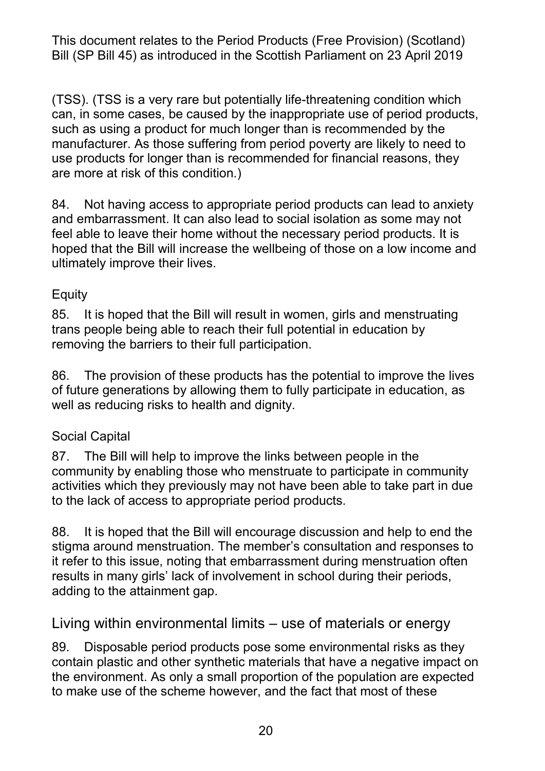(TSS). (TSS is a very rare but potentially life-threatening condition which can, in some cases, be caused by the inappropriate use of period products, manufacturer. As those suffering from period poverty are likely to need to use products for longer than is recommended for financial reasons, they are more at risk of this condition.) such as using a product for much longer than is recommended by the

 hoped that the Bill will increase the wellbeing of those on a low income and 84. Not having access to appropriate period products can lead to anxiety and embarrassment. It can also lead to social isolation as some may not feel able to leave their home without the necessary period products. It is ultimately improve their lives.

#### **Equity**

 85. It is hoped that the Bill will result in women, girls and menstruating trans people being able to reach their full potential in education by removing the barriers to their full participation.

 86. The provision of these products has the potential to improve the lives of future generations by allowing them to fully participate in education, as well as reducing risks to health and dignity.

#### Social Capital

 87. The Bill will help to improve the links between people in the community by enabling those who menstruate to participate in community activities which they previously may not have been able to take part in due to the lack of access to appropriate period products.

 88. It is hoped that the Bill will encourage discussion and help to end the adding to the attainment gap. stigma around menstruation. The member's consultation and responses to it refer to this issue, noting that embarrassment during menstruation often results in many girls' lack of involvement in school during their periods,

#### Living within environmental limits – use of materials or energy

 89. Disposable period products pose some environmental risks as they the environment. As only a small proportion of the population are expected to make use of the scheme however, and the fact that most of these contain plastic and other synthetic materials that have a negative impact on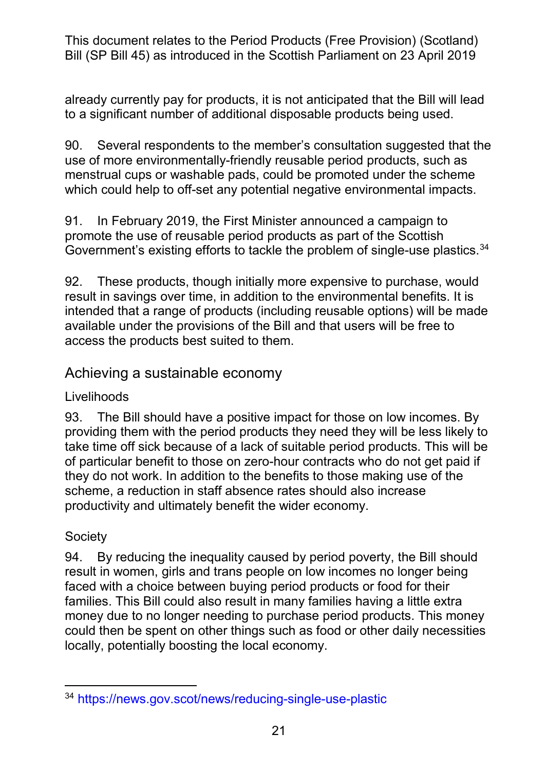already currently pay for products, it is not anticipated that the Bill will lead to a significant number of additional disposable products being used.

 90. Several respondents to the member's consultation suggested that the use of more environmentally-friendly reusable period products, such as menstrual cups or washable pads, could be promoted under the scheme which could help to off-set any potential negative environmental impacts.

 promote the use of reusable period products as part of the Scottish 91. In February 2019, the First Minister announced a campaign to Government's existing efforts to tackle the problem of single-use plastics.<sup>[34](#page-20-0)</sup>

 result in savings over time, in addition to the environmental benefits. It is available under the provisions of the Bill and that users will be free to 92. These products, though initially more expensive to purchase, would intended that a range of products (including reusable options) will be made access the products best suited to them.

#### Achieving a sustainable economy

#### Livelihoods

 93. The Bill should have a positive impact for those on low incomes. By providing them with the period products they need they will be less likely to take time off sick because of a lack of suitable period products. This will be of particular benefit to those on zero-hour contracts who do not get paid if productivity and ultimately benefit the wider economy. they do not work. In addition to the benefits to those making use of the scheme, a reduction in staff absence rates should also increase

#### **Society**

 result in women, girls and trans people on low incomes no longer being faced with a choice between buying period products or food for their families. This Bill could also result in many families having a little extra could then be spent on other things such as food or other daily necessities 94. By reducing the inequality caused by period poverty, the Bill should money due to no longer needing to purchase period products. This money locally, potentially boosting the local economy.

<span id="page-20-0"></span> $\overline{a}$  $^{34}$  https://news.gov.scot/news/reducing-single-use-plastic<br>21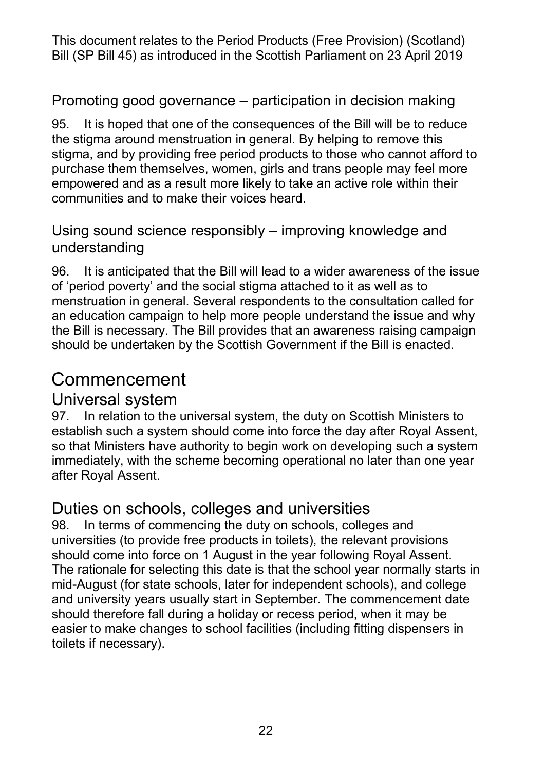#### Promoting good governance – participation in decision making

 empowered and as a result more likely to take an active role within their communities and to make their voices heard. 95. It is hoped that one of the consequences of the Bill will be to reduce the stigma around menstruation in general. By helping to remove this stigma, and by providing free period products to those who cannot afford to purchase them themselves, women, girls and trans people may feel more

#### Using sound science responsibly – improving knowledge and understanding

 96. It is anticipated that the Bill will lead to a wider awareness of the issue of 'period poverty' and the social stigma attached to it as well as to menstruation in general. Several respondents to the consultation called for the Bill is necessary. The Bill provides that an awareness raising campaign an education campaign to help more people understand the issue and why should be undertaken by the Scottish Government if the Bill is enacted.

## Commencement

#### Universal system

 97. In relation to the universal system, the duty on Scottish Ministers to establish such a system should come into force the day after Royal Assent, so that Ministers have authority to begin work on developing such a system immediately, with the scheme becoming operational no later than one year after Royal Assent.

#### Duties on schools, colleges and universities

 98. In terms of commencing the duty on schools, colleges and universities (to provide free products in toilets), the relevant provisions should come into force on 1 August in the year following Royal Assent. should come into force on 1 August in the year following Royal Assent.<br>The rationale for selecting this date is that the school year normally starts in mid-August (for state schools, later for independent schools), and college easier to make changes to school facilities (including fitting dispensers in and university years usually start in September. The commencement date should therefore fall during a holiday or recess period, when it may be toilets if necessary).